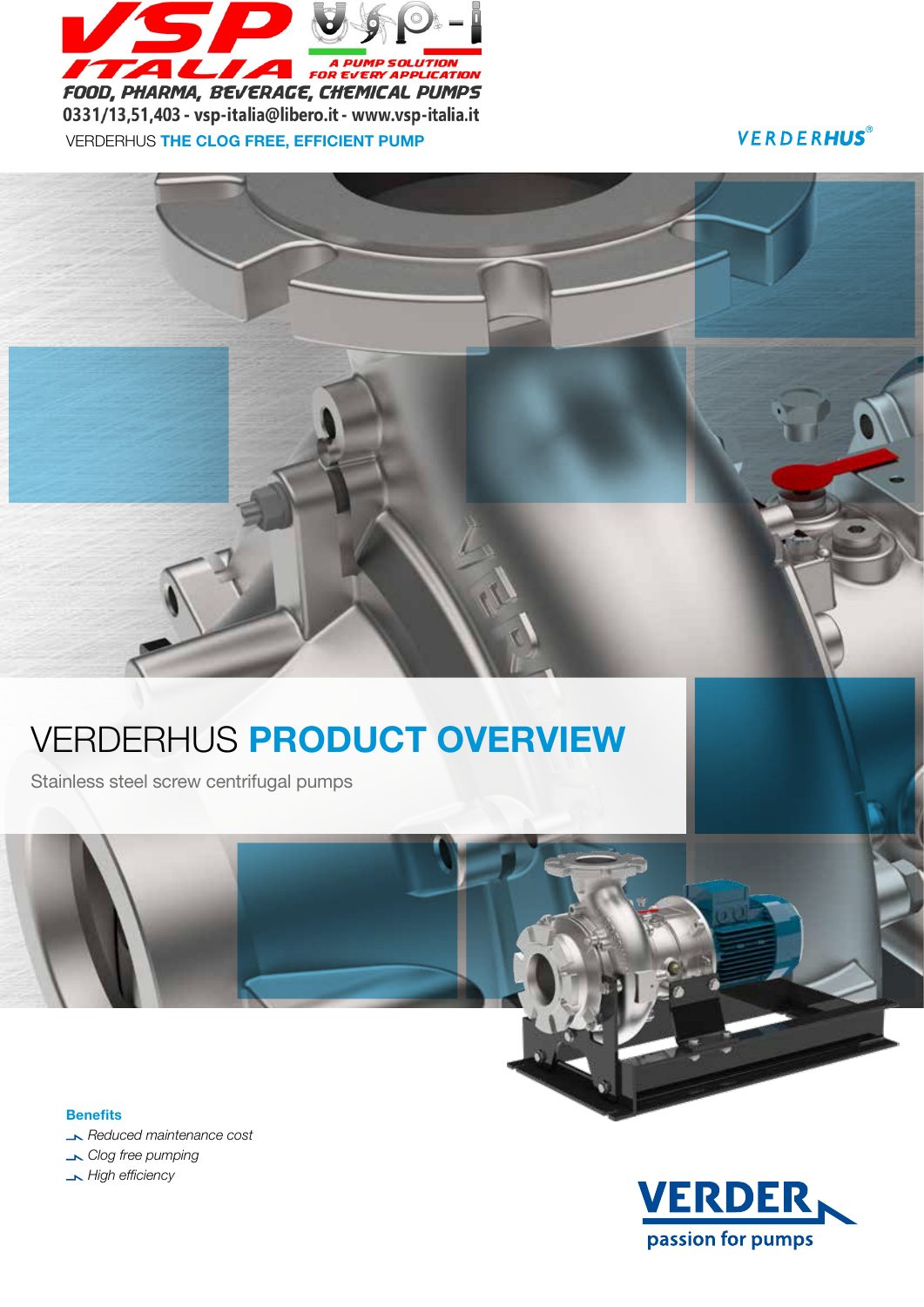

VERDERHUS THE CLOG FREE, EFFICIENT PUMP

**VERDERHUS**®

# VERDERHUS PRODUCT OVERVIEW

Stainless steel screw centrifugal pumps

**Benefits** *Reduced maintenance cost Clog free pumping High efficiency*

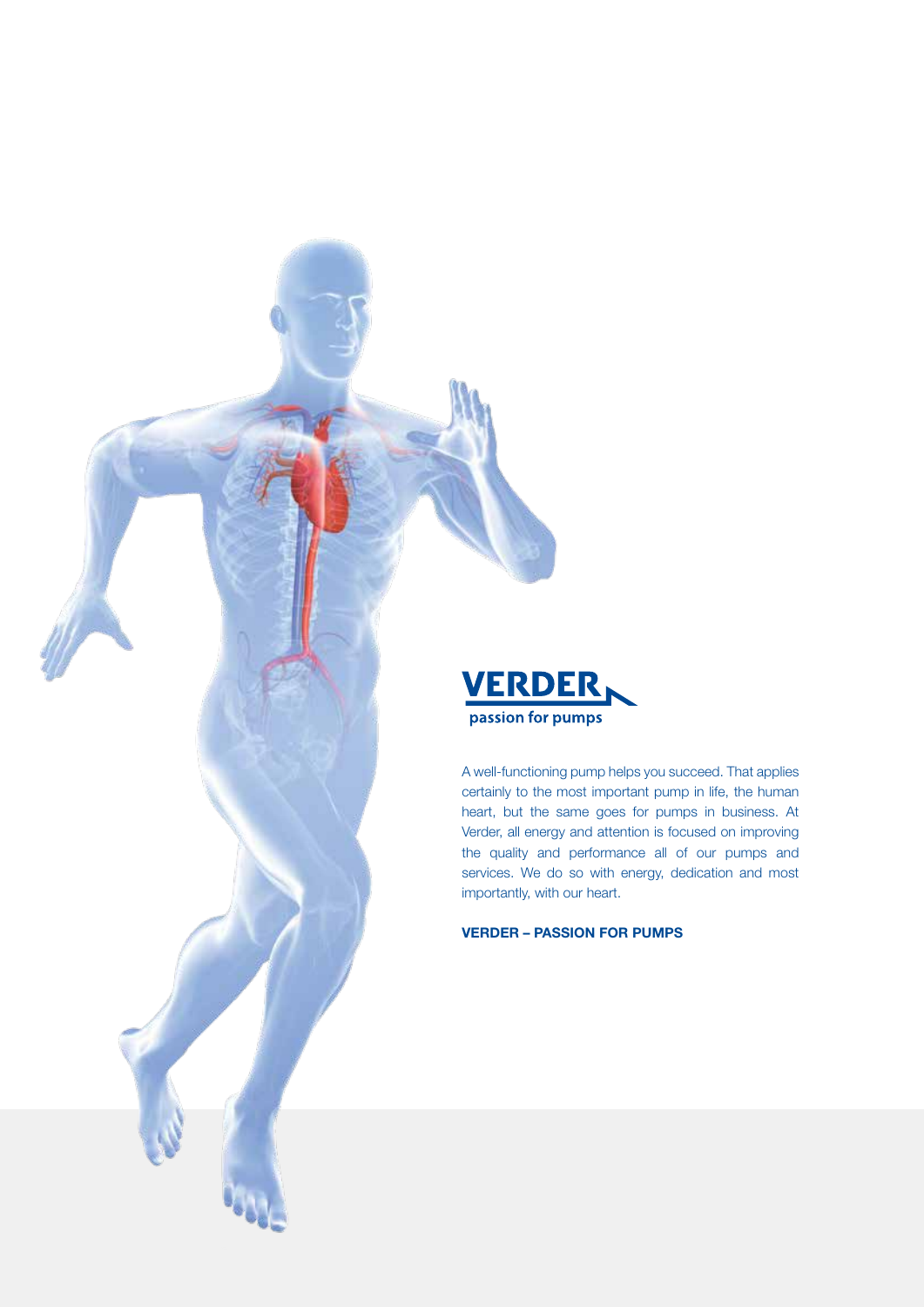

A well-functioning pump helps you succeed. That applies certainly to the most important pump in life, the human heart, but the same goes for pumps in business. At Verder, all energy and attention is focused on improving the quality and performance all of our pumps and services. We do so with energy, dedication and most importantly, with our heart.

VERDER – PASSION FOR PUMPS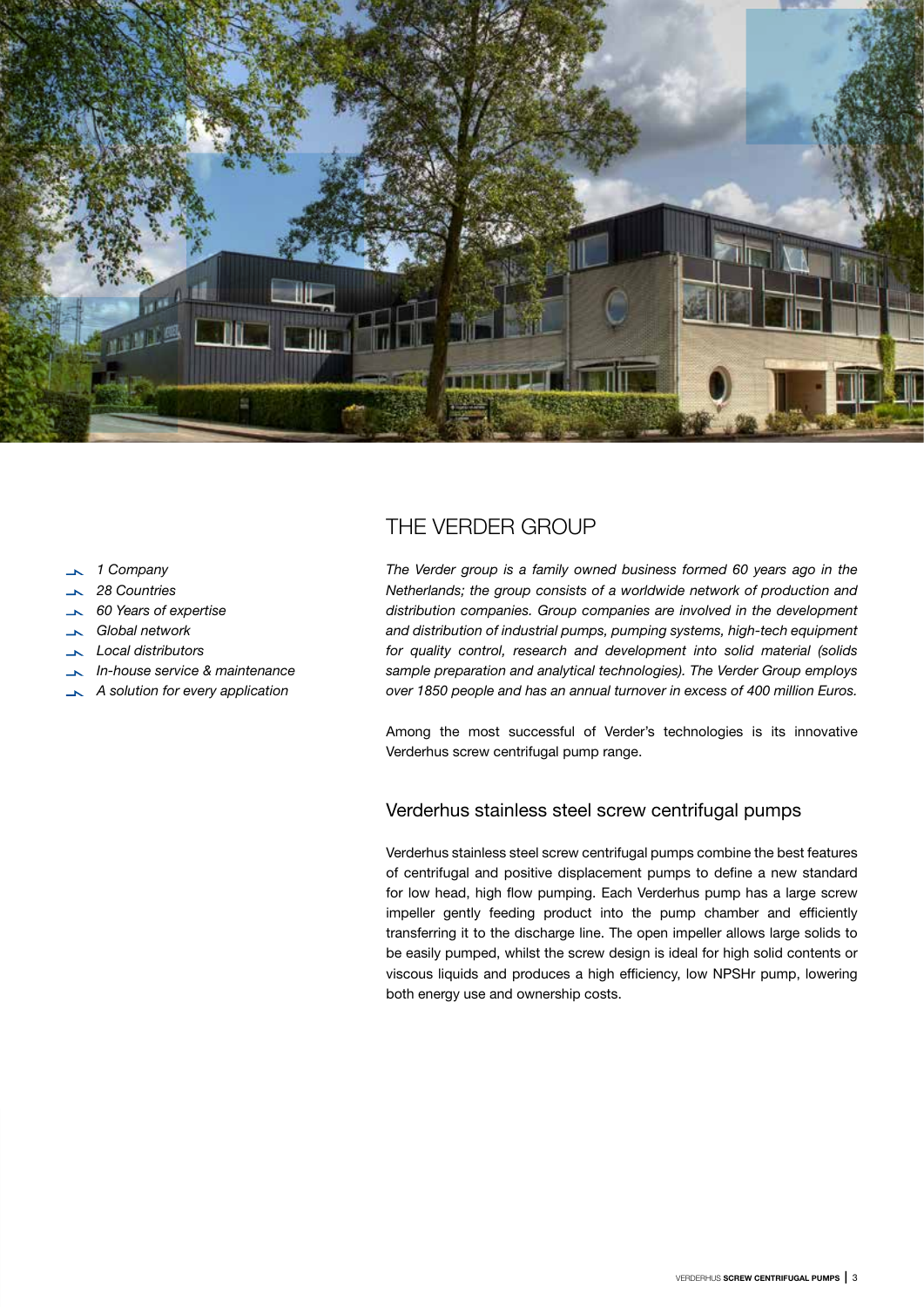

- *1 Company*
- *28 Countries*
- *60 Years of expertise*
- *Global network*
- *Local distributors*
- *In-house service & maintenance*
- *A solution for every application*

## THE VERDER GROUP

*The Verder group is a family owned business formed 60 years ago in the Netherlands; the group consists of a worldwide network of production and distribution companies. Group companies are involved in the development and distribution of industrial pumps, pumping systems, high-tech equipment for quality control, research and development into solid material (solids sample preparation and analytical technologies). The Verder Group employs over 1850 people and has an annual turnover in excess of 400 million Euros.* 

Among the most successful of Verder's technologies is its innovative Verderhus screw centrifugal pump range.

### Verderhus stainless steel screw centrifugal pumps

Verderhus stainless steel screw centrifugal pumps combine the best features of centrifugal and positive displacement pumps to define a new standard for low head, high flow pumping. Each Verderhus pump has a large screw impeller gently feeding product into the pump chamber and efficiently transferring it to the discharge line. The open impeller allows large solids to be easily pumped, whilst the screw design is ideal for high solid contents or viscous liquids and produces a high efficiency, low NPSHr pump, lowering both energy use and ownership costs.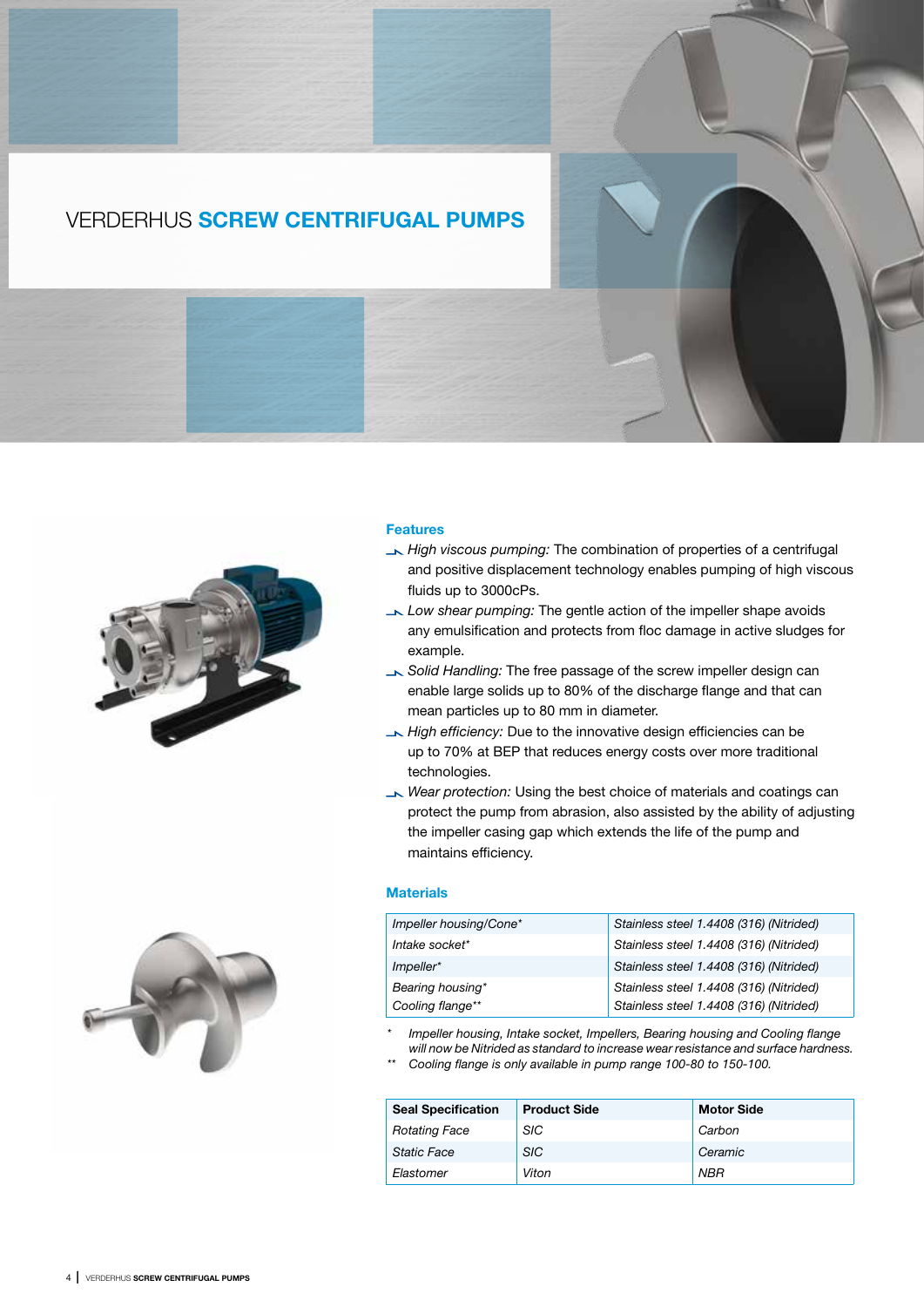### VERDERHUS SCREW CENTRIFUGAL PUMPS



### Features

- *High viscous pumping:* The combination of properties of a centrifugal and positive displacement technology enables pumping of high viscous fluids up to 3000cPs.
- *Low shear pumping:* The gentle action of the impeller shape avoids any emulsification and protects from floc damage in active sludges for example.
- *Solid Handling:* The free passage of the screw impeller design can enable large solids up to 80% of the discharge flange and that can mean particles up to 80 mm in diameter.
- *High efficiency:* Due to the innovative design efficiencies can be up to 70% at BEP that reduces energy costs over more traditional technologies.
- *Wear protection:* Using the best choice of materials and coatings can protect the pump from abrasion, also assisted by the ability of adjusting the impeller casing gap which extends the life of the pump and maintains efficiency.

### **Materials**

|  | Impeller housing/Cone* | Stainless steel 1.4408 (316) (Nitrided) |
|--|------------------------|-----------------------------------------|
|  | Intake socket*         | Stainless steel 1.4408 (316) (Nitrided) |
|  | $Impeller*$            | Stainless steel 1.4408 (316) (Nitrided) |
|  | Bearing housing*       | Stainless steel 1.4408 (316) (Nitrided) |
|  | Cooling flange**       | Stainless steel 1.4408 (316) (Nitrided) |

*\* Impeller housing, Intake socket, Impellers, Bearing housing and Cooling flange will now be Nitrided as standard to increase wear resistance and surface hardness.*

*\*\* Cooling flange is only available in pump range 100-80 to 150-100.*

| <b>Seal Specification</b> | <b>Product Side</b> | <b>Motor Side</b> |
|---------------------------|---------------------|-------------------|
| <b>Rotating Face</b>      | <b>SIC</b>          | Carbon            |
| <b>Static Face</b>        | <b>SIC</b>          | Ceramic           |
| Elastomer                 | Viton               | <b>NBR</b>        |

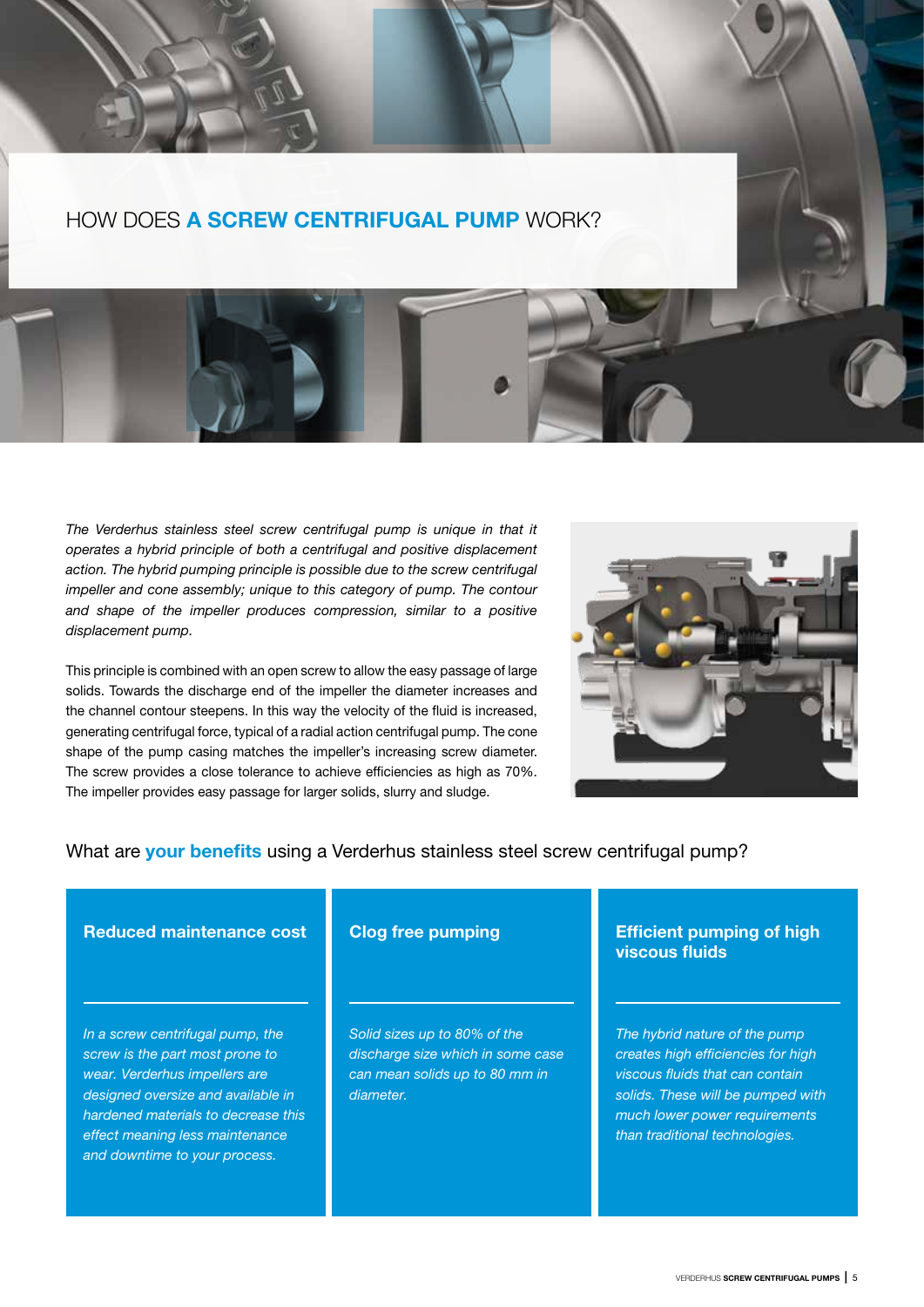HOW DOES A SCREW CENTRIFUGAL PUMP WORK?

The Verderhus stainless steel screw centrifugal pump is unique in that it *operates a hybrid principle of both a centrifugal and positive displacement action. The hybrid pumping principle is possible due to the screw centrifugal impeller and cone assembly; unique to this category of pump. The contour and shape of the impeller produces compression, similar to a positive displacement pump.*

This principle is combined with an open screw to allow the easy passage of large solids. Towards the discharge end of the impeller the diameter increases and the channel contour steepens. In this way the velocity of the fluid is increased, generating centrifugal force, typical of a radial action centrifugal pump. The cone shape of the pump casing matches the impeller's increasing screw diameter. The screw provides a close tolerance to achieve efficiencies as high as 70%. The impeller provides easy passage for larger solids, slurry and sludge.



### What are your benefits using a Verderhus stainless steel screw centrifugal pump?

### Reduced maintenance cost

*In a screw centrifugal pump, the screw is the part most prone to wear. Verderhus impellers are designed oversize and available in hardened materials to decrease this effect meaning less maintenance and downtime to your process.*

### Clog free pumping

*Solid sizes up to 80% of the discharge size which in some case can mean solids up to 80 mm in diameter.*

### Efficient pumping of high viscous fluids

*The hybrid nature of the pump creates high efficiencies for high viscous fluids that can contain solids. These will be pumped with much lower power requirements than traditional technologies.*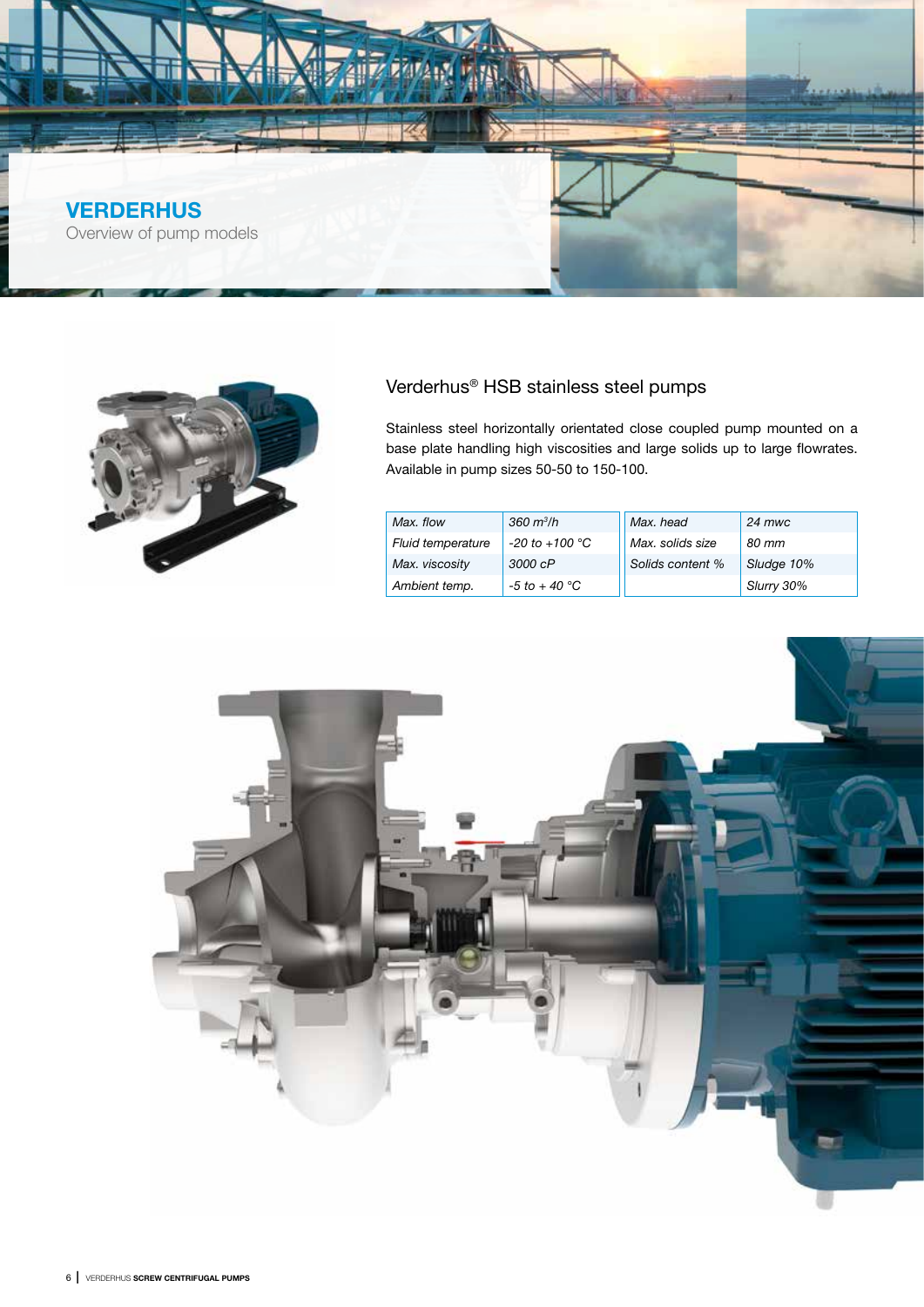

![](_page_5_Picture_1.jpeg)

### Verderhus® HSB stainless steel pumps

Stainless steel horizontally orientated close coupled pump mounted on a base plate handling high viscosities and large solids up to large flowrates. Available in pump sizes 50-50 to 150-100.

| Max. flow                | $360 \frac{\text{m}^3}{\text{h}}$ | Max, head        | $24$ mwc   |
|--------------------------|-----------------------------------|------------------|------------|
| <b>Fluid temperature</b> | $-20$ to $+100$ °C                | Max. solids size | 80 mm      |
| Max. viscosity           | 3000 cP                           | Solids content % | Sludge 10% |
| Ambient temp.            | $-5$ to $+40$ °C                  |                  | Slurry 30% |

![](_page_5_Picture_5.jpeg)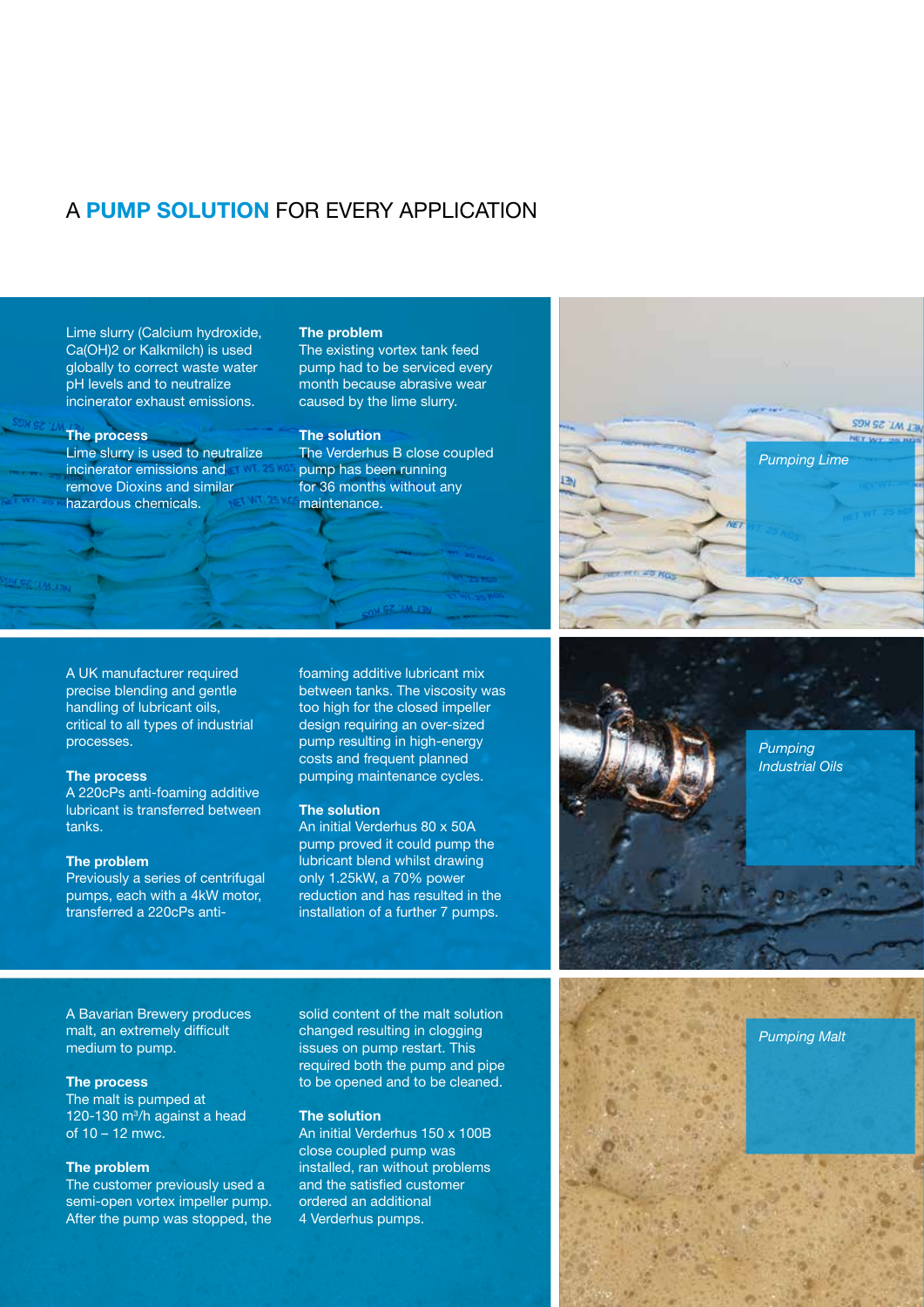### A PUMP SOLUTION FOR EVERY APPLICATION

Lime slurry (Calcium hydroxide, Ca(OH)2 or Kalkmilch) is used globally to correct waste water pH levels and to neutralize incinerator exhaust emissions.

#### The process

Lime slurry is used to neutralize incinerator emissions and remove Dioxins and similar hazardous chemicals.

#### The problem

The existing vortex tank feed pump had to be serviced every month because abrasive wear caused by the lime slurry.

### The solution

The Verderhus B close coupled pump has been running for 36 months without any maintenance.

A UK manufacturer required precise blending and gentle handling of lubricant oils, critical to all types of industrial processes.

#### The process

A 220cPs anti-foaming additive lubricant is transferred between tanks.

### The problem

Previously a series of centrifugal pumps, each with a 4kW motor, transferred a 220cPs antifoaming additive lubricant mix between tanks. The viscosity was too high for the closed impeller design requiring an over-sized pump resulting in high-energy costs and frequent planned pumping maintenance cycles.

ON GZ "IM JEN

#### The solution

An initial Verderhus 80 x 50A pump proved it could pump the lubricant blend whilst drawing only 1.25kW, a 70% power reduction and has resulted in the installation of a further 7 pumps.

*Pumping Industrial Oils*

*Pumping Lime*

**SON SE TALLER** 

A Bavarian Brewery produces malt, an extremely difficult medium to pump.

### The process

The malt is pumped at 120-130 m3 /h against a head of 10 – 12 mwc.

### The problem

The customer previously used a semi-open vortex impeller pump. After the pump was stopped, the solid content of the malt solution changed resulting in clogging issues on pump restart. This required both the pump and pipe to be opened and to be cleaned.

### The solution

An initial Verderhus 150 x 100B close coupled pump was installed, ran without problems and the satisfied customer ordered an additional 4 Verderhus pumps.

![](_page_6_Picture_25.jpeg)